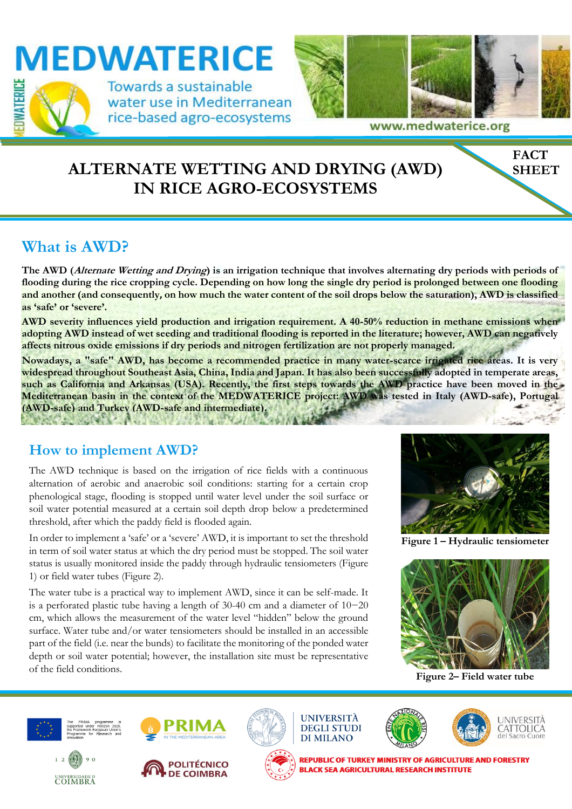

## **ALTERNATE WETTING AND DRYING (AWD) IN RICE AGRO-ECOSYSTEMS**

### **What is AWD?**

**The AWD (Alternate Wetting and Drying) is an irrigation technique that involves alternating dry periods with periods of flooding during the rice cropping cycle. Depending on how long the single dry period is prolonged between one flooding**  and another (and consequently, on how much the water content of the soil drops below the saturation), AWD is classified **as 'safe' or 'severe'.** 

**AWD severity influences yield production and irrigation requirement. A 40-50% reduction in methane emissions when adopting AWD instead of wet seeding and traditional flooding is reported in the literature; however, AWD can negatively affects nitrous oxide emissions if dry periods and nitrogen fertilization are not properly managed.** 

**Nowadays, a "safe" AWD, has become a recommended practice in many water-scarce irrigated rice areas. It is very widespread throughout Southeast Asia, China, India and Japan. It has also been successfully adopted in temperate areas, such as California and Arkansas (USA). Recently, the first steps towards the AWD practice have been moved in the Mediterranean basin in the context of the MEDWATERICE project: AWD was tested in Italy (AWD-safe), Portugal (AWD-safe) and Turkey (AWD-safe and intermediate). CONTRACTOR** V.I

#### **How to implement AWD?**

The AWD technique is based on the irrigation of rice fields with a continuous alternation of aerobic and anaerobic soil conditions: starting for a certain crop phenological stage, flooding is stopped until water level under the soil surface or soil water potential measured at a certain soil depth drop below a predetermined threshold, after which the paddy field is flooded again.

In order to implement a 'safe' or a 'severe' AWD, it is important to set the threshold in term of soil water status at which the dry period must be stopped. The soil water status is usually monitored inside the paddy through hydraulic tensiometers (Figure 1) or field water tubes (Figure 2).

The water tube is a practical way to implement AWD, since it can be self-made. It is a perforated plastic tube having a length of 30-40 cm and a diameter of 10−20 cm, which allows the measurement of the water level "hidden" below the ground surface. Water tube and/or water tensiometers should be installed in an accessible part of the field (i.e. near the bunds) to facilitate the monitoring of the ponded water depth or soil water potential; however, the installation site must be representative of the field conditions.



**FACT SHEET**

**Figure 1 – Hydraulic tensiometer**



**Figure 2– Field water tube**







**REPUBLIC OF TURKEY MINISTRY OF AGRICULTURE AND FORESTRY BLACK SEA AGRICULTURAL RESEARCH INSTITUTE**